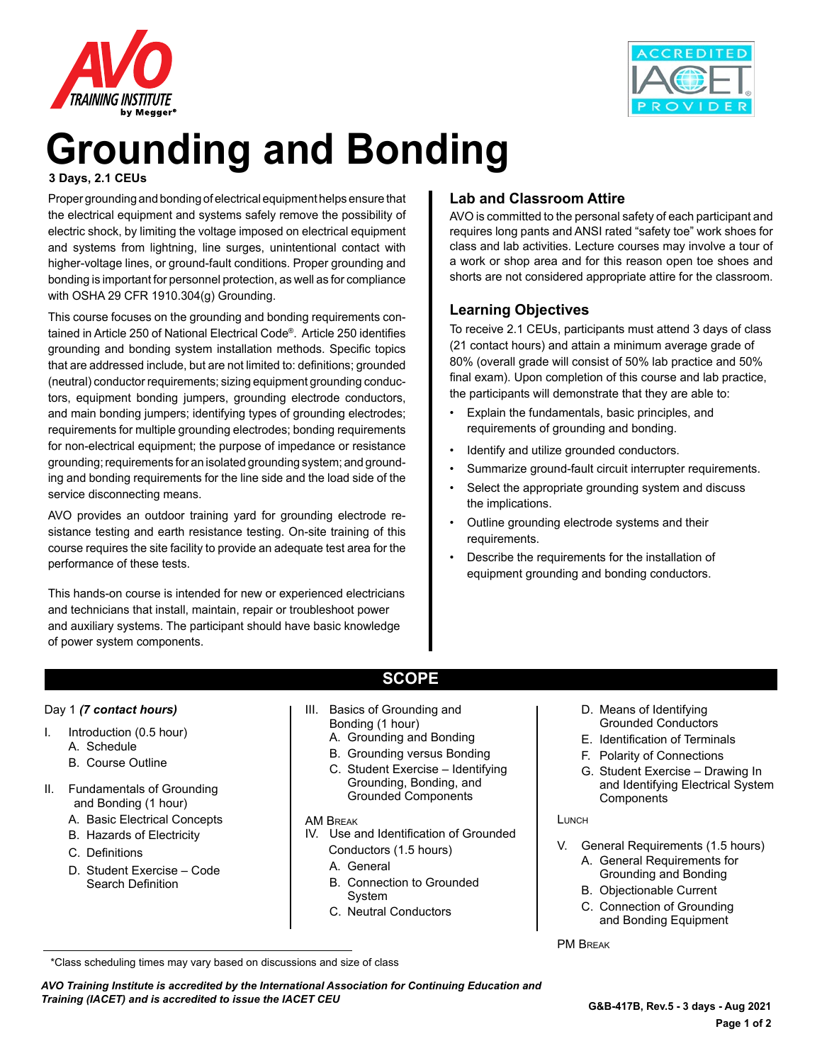



## **Grounding and Bonding**

#### **3 Days, 2.1 CEUs**

Proper grounding and bonding of electrical equipment helps ensure that the electrical equipment and systems safely remove the possibility of electric shock, by limiting the voltage imposed on electrical equipment and systems from lightning, line surges, unintentional contact with higher-voltage lines, or ground-fault conditions. Proper grounding and bonding is important for personnel protection, as well as for compliance with OSHA 29 CFR 1910.304(g) Grounding.

This course focuses on the grounding and bonding requirements contained in Article 250 of National Electrical Code®. Article 250 identifies grounding and bonding system installation methods. Specific topics that are addressed include, but are not limited to: definitions; grounded (neutral) conductor requirements; sizing equipment grounding conductors, equipment bonding jumpers, grounding electrode conductors, and main bonding jumpers; identifying types of grounding electrodes; requirements for multiple grounding electrodes; bonding requirements for non-electrical equipment; the purpose of impedance or resistance grounding; requirements for an isolated grounding system; and grounding and bonding requirements for the line side and the load side of the service disconnecting means.

AVO provides an outdoor training yard for grounding electrode resistance testing and earth resistance testing. On-site training of this course requires the site facility to provide an adequate test area for the performance of these tests.

This hands-on course is intended for new or experienced electricians and technicians that install, maintain, repair or troubleshoot power and auxiliary systems. The participant should have basic knowledge of power system components.

## **Lab and Classroom Attire**

AVO is committed to the personal safety of each participant and requires long pants and ANSI rated "safety toe" work shoes for class and lab activities. Lecture courses may involve a tour of a work or shop area and for this reason open toe shoes and shorts are not considered appropriate attire for the classroom.

### **Learning Objectives**

To receive 2.1 CEUs, participants must attend 3 days of class (21 contact hours) and attain a minimum average grade of 80% (overall grade will consist of 50% lab practice and 50% final exam). Upon completion of this course and lab practice, the participants will demonstrate that they are able to:

- Explain the fundamentals, basic principles, and requirements of grounding and bonding.
- Identify and utilize grounded conductors.
- Summarize ground-fault circuit interrupter requirements.
- Select the appropriate grounding system and discuss the implications.
- Outline grounding electrode systems and their requirements.
- Describe the requirements for the installation of equipment grounding and bonding conductors.

#### Day 1 *(7 contact hours)*

- I. Introduction (0.5 hour) A. Schedule
	- B. Course Outline
- II. Fundamentals of Grounding and Bonding (1 hour)
	- A. Basic Electrical Concepts
	- B. Hazards of Electricity
	- C. Definitions
	- D. Student Exercise Code Search Definition

## **SCOPE**

- III. Basics of Grounding and Bonding (1 hour)
	- A. Grounding and Bonding
	- B. Grounding versus Bonding
	- C. Student Exercise Identifying Grounding, Bonding, and Grounded Components
- AM RPEAK
- IV. Use and Identification of Grounded Conductors (1.5 hours)
	- A. General
	- B. Connection to Grounded System
	- C. Neutral Conductors
- D. Means of Identifying Grounded Conductors
- E. Identification of Terminals
- F. Polarity of Connections
- G. Student Exercise Drawing In and Identifying Electrical System **Components**

#### **LUNCH**

- V. General Requirements (1.5 hours) A. General Requirements for
	- Grounding and Bonding B. Objectionable Current
	- C. Connection of Grounding and Bonding Equipment

PM Break

\*Class scheduling times may vary based on discussions and size of class

*AVO Training Institute is accredited by the International Association for Continuing Education and Training (IACET) and is accredited to issue the IACET CEU*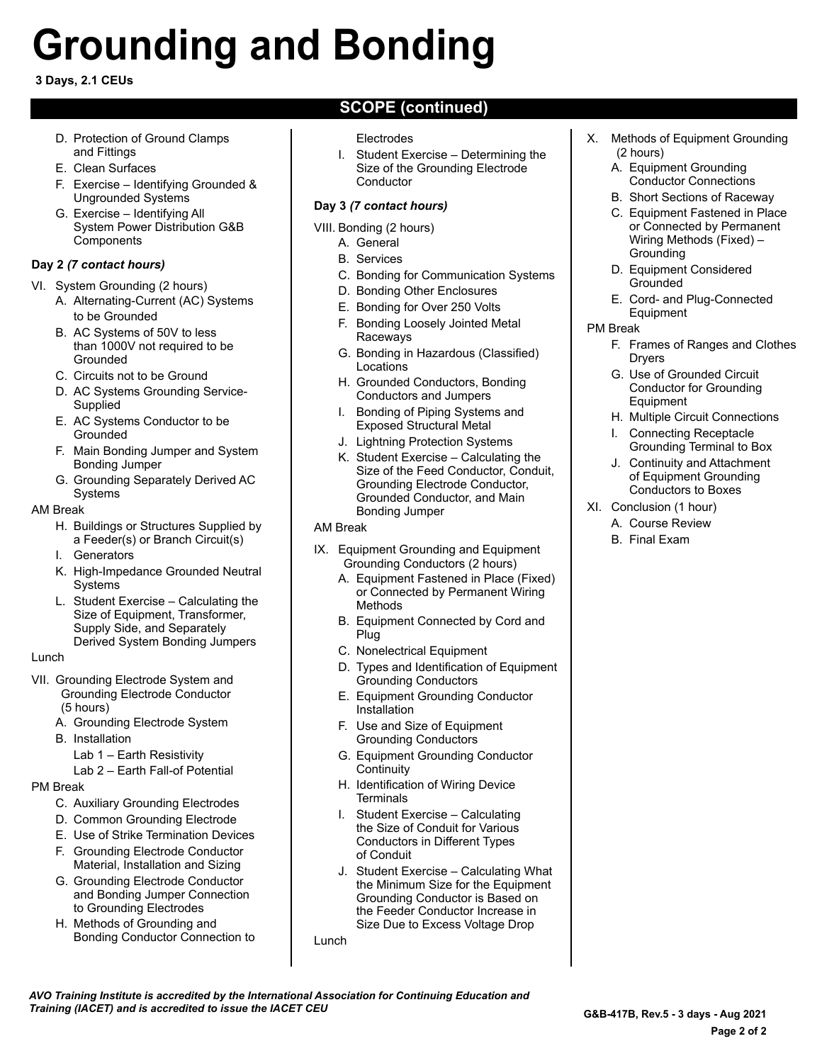# **Grounding and Bonding**

#### **3 Days, 2.1 CEUs**

- D. Protection of Ground Clamps and Fittings
- E. Clean Surfaces
- F. Exercise Identifying Grounded & Ungrounded Systems
- G. Exercise Identifying All System Power Distribution G&B **Components**

#### **Day 2** *(7 contact hours)*

- VI. System Grounding (2 hours)
	- A. Alternating-Current (AC) Systems to be Grounded
	- B. AC Systems of 50V to less than 1000V not required to be Grounded
	- C. Circuits not to be Ground
	- D. AC Systems Grounding Service-**Supplied**
	- E. AC Systems Conductor to be Grounded
	- F. Main Bonding Jumper and System Bonding Jumper
	- G. Grounding Separately Derived AC Systems

#### AM Break

- H. Buildings or Structures Supplied by a Feeder(s) or Branch Circuit(s)
- I. Generators
- K. High-Impedance Grounded Neutral Systems
- L. Student Exercise Calculating the Size of Equipment, Transformer, Supply Side, and Separately Derived System Bonding Jumpers

#### Lunch

- VII. Grounding Electrode System and Grounding Electrode Conductor (5 hours)
	- A. Grounding Electrode System
	- B. Installation
		- Lab 1 Earth Resistivity
		- Lab 2 Earth Fall-of Potential

#### PM Break

- C. Auxiliary Grounding Electrodes
- D. Common Grounding Electrode
- E. Use of Strike Termination Devices
- F. Grounding Electrode Conductor Material, Installation and Sizing
- G. Grounding Electrode Conductor and Bonding Jumper Connection to Grounding Electrodes
- H. Methods of Grounding and Bonding Conductor Connection to

## **SCOPE (continued)**

#### Electrodes

I. Student Exercise – Determining the Size of the Grounding Electrode **Conductor** 

#### **Day 3** *(7 contact hours)*

- VIII. Bonding (2 hours)
	- A. General
	- B. Services
	- C. Bonding for Communication Systems
	- D. Bonding Other Enclosures
	- E. Bonding for Over 250 Volts
	- F. Bonding Loosely Jointed Metal Raceways
	- G. Bonding in Hazardous (Classified) Locations
	- H. Grounded Conductors, Bonding Conductors and Jumpers
	- I. Bonding of Piping Systems and Exposed Structural Metal
	- J. Lightning Protection Systems
	- K. Student Exercise Calculating the Size of the Feed Conductor, Conduit, Grounding Electrode Conductor, Grounded Conductor, and Main Bonding Jumper

#### AM Break

- IX. Equipment Grounding and Equipment Grounding Conductors (2 hours)
	- A. Equipment Fastened in Place (Fixed) or Connected by Permanent Wiring Methods
	- B. Equipment Connected by Cord and Plug
	- C. Nonelectrical Equipment
	- D. Types and Identification of Equipment Grounding Conductors
	- E. Equipment Grounding Conductor Installation
	- F. Use and Size of Equipment Grounding Conductors
	- G. Equipment Grounding Conductor **Continuity**
	- H. Identification of Wiring Device **Terminals**
	- I. Student Exercise Calculating the Size of Conduit for Various Conductors in Different Types of Conduit
	- J. Student Exercise Calculating What the Minimum Size for the Equipment Grounding Conductor is Based on the Feeder Conductor Increase in Size Due to Excess Voltage Drop

Lunch

- X. Methods of Equipment Grounding (2 hours)
	- A. Equipment Grounding Conductor Connections
	- B. Short Sections of Raceway
	- C. Equipment Fastened in Place or Connected by Permanent Wiring Methods (Fixed) – **Grounding**
	- D. Equipment Considered Grounded
	- E. Cord- and Plug-Connected Equipment
- PM Break
	- F. Frames of Ranges and Clothes **Drvers**
	- G. Use of Grounded Circuit Conductor for Grounding Equipment
	- H. Multiple Circuit Connections
	- I. Connecting Receptacle Grounding Terminal to Box
	- J. Continuity and Attachment of Equipment Grounding Conductors to Boxes
- XI. Conclusion (1 hour)
	- A. Course Review
		- B. Final Exam